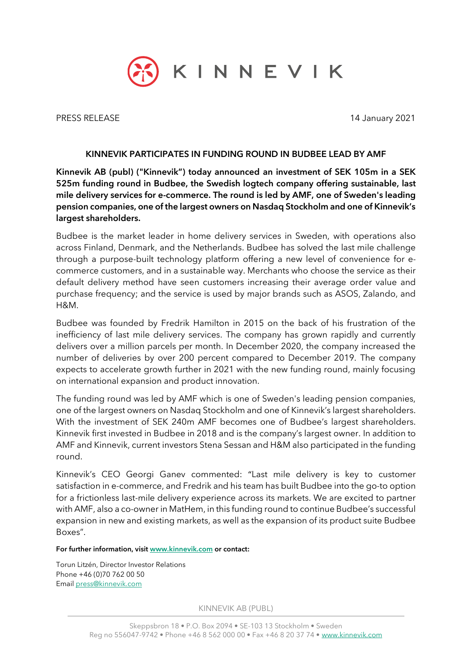

PRESS RELEASE 14 January 2021

## KINNEVIK PARTICIPATES IN FUNDING ROUND IN BUDBEE LEAD BY AMF

Kinnevik AB (publ) ("Kinnevik") today announced an investment of SEK 105m in a SEK 525m funding round in Budbee, the Swedish logtech company offering sustainable, last mile delivery services for e-commerce. The round is led by AMF, one of Sweden's leading pension companies, one of the largest owners on Nasdaq Stockholm and one of Kinnevik's largest shareholders.

Budbee is the market leader in home delivery services in Sweden, with operations also across Finland, Denmark, and the Netherlands. Budbee has solved the last mile challenge through a purpose-built technology platform offering a new level of convenience for ecommerce customers, and in a sustainable way. Merchants who choose the service as their default delivery method have seen customers increasing their average order value and purchase frequency; and the service is used by major brands such as ASOS, Zalando, and H&M.

Budbee was founded by Fredrik Hamilton in 2015 on the back of his frustration of the inefficiency of last mile delivery services. The company has grown rapidly and currently delivers over a million parcels per month. In December 2020, the company increased the number of deliveries by over 200 percent compared to December 2019. The company expects to accelerate growth further in 2021 with the new funding round, mainly focusing on international expansion and product innovation.

The funding round was led by AMF which is one of Sweden's leading pension companies, one of the largest owners on Nasdaq Stockholm and one of Kinnevik's largest shareholders. With the investment of SEK 240m AMF becomes one of Budbee's largest shareholders. Kinnevik first invested in Budbee in 2018 and is the company's largest owner. In addition to AMF and Kinnevik, current investors Stena Sessan and H&M also participated in the funding round.

Kinnevik's CEO Georgi Ganev commented: "Last mile delivery is key to customer satisfaction in e-commerce, and Fredrik and his team has built Budbee into the go-to option for a frictionless last-mile delivery experience across its markets. We are excited to partner with AMF, also a co-owner in MatHem, in this funding round to continue Budbee's successful expansion in new and existing markets, as well as the expansion of its product suite Budbee Boxes".

## For further information, visit [www.kinnevik.com](http://www.kinnevik.com/) or contact:

Torun Litzén, Director Investor Relations Phone +46 (0)70 762 00 50 Email [press@kinnevik.com](mailto:press@kinnevik.com)

KINNEVIK AB (PUBL)